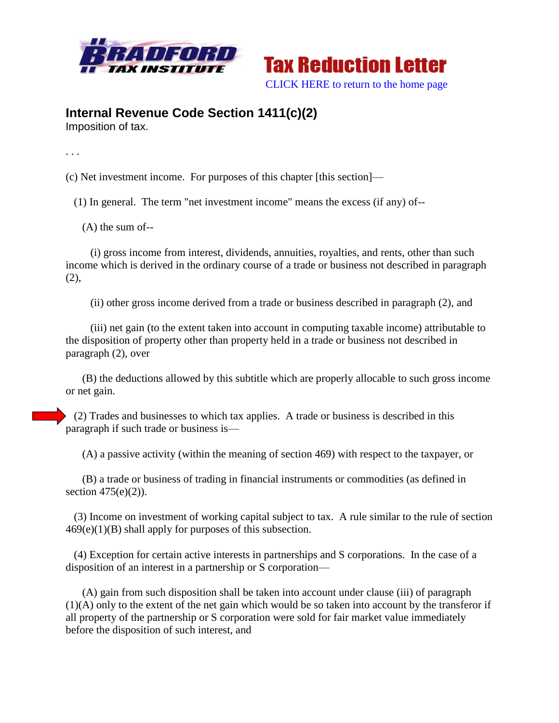



## **Internal Revenue Code Section 1411(c)(2)**

Imposition of tax.

. . .

(c) Net investment income. For purposes of this chapter [this section]—

(1) In general. The term "net investment income" means the excess (if any) of--

(A) the sum of--

 (i) gross income from interest, dividends, annuities, royalties, and rents, other than such income which is derived in the ordinary course of a trade or business not described in paragraph (2),

(ii) other gross income derived from a trade or business described in paragraph (2), and

 (iii) net gain (to the extent taken into account in computing taxable income) attributable to the disposition of property other than property held in a trade or business not described in paragraph (2), over

 (B) the deductions allowed by this subtitle which are properly allocable to such gross income or net gain.

 (2) Trades and businesses to which tax applies. A trade or business is described in this paragraph if such trade or business is—

(A) a passive activity (within the meaning of section 469) with respect to the taxpayer, or

 (B) a trade or business of trading in financial instruments or commodities (as defined in section  $475(e)(2)$ ).

 (3) Income on investment of working capital subject to tax. A rule similar to the rule of section  $469(e)(1)(B)$  shall apply for purposes of this subsection.

 (4) Exception for certain active interests in partnerships and S corporations. In the case of a disposition of an interest in a partnership or S corporation—

 (A) gain from such disposition shall be taken into account under clause (iii) of paragraph (1)(A) only to the extent of the net gain which would be so taken into account by the transferor if all property of the partnership or S corporation were sold for fair market value immediately before the disposition of such interest, and